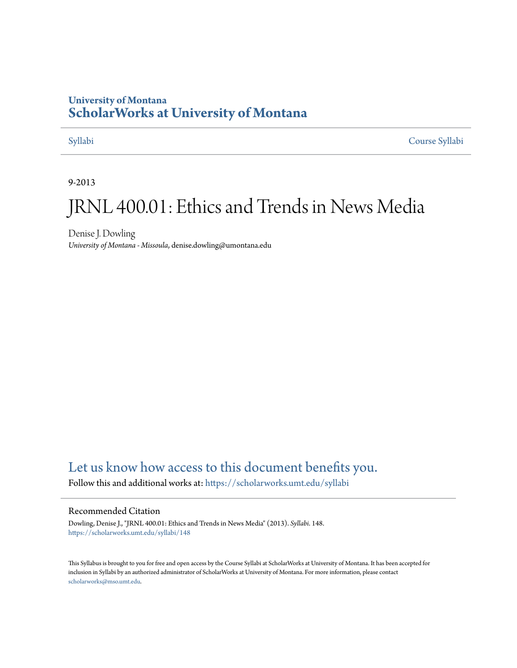#### **University of Montana [ScholarWorks at University of Montana](https://scholarworks.umt.edu?utm_source=scholarworks.umt.edu%2Fsyllabi%2F148&utm_medium=PDF&utm_campaign=PDFCoverPages)**

[Syllabi](https://scholarworks.umt.edu/syllabi?utm_source=scholarworks.umt.edu%2Fsyllabi%2F148&utm_medium=PDF&utm_campaign=PDFCoverPages) [Course Syllabi](https://scholarworks.umt.edu/course_syllabi?utm_source=scholarworks.umt.edu%2Fsyllabi%2F148&utm_medium=PDF&utm_campaign=PDFCoverPages)

9-2013

## JRNL 400.01: Ethics and Trends in News Media

Denise J. Dowling *University of Montana - Missoula*, denise.dowling@umontana.edu

### [Let us know how access to this document benefits you.](https://goo.gl/forms/s2rGfXOLzz71qgsB2)

Follow this and additional works at: [https://scholarworks.umt.edu/syllabi](https://scholarworks.umt.edu/syllabi?utm_source=scholarworks.umt.edu%2Fsyllabi%2F148&utm_medium=PDF&utm_campaign=PDFCoverPages)

#### Recommended Citation

Dowling, Denise J., "JRNL 400.01: Ethics and Trends in News Media" (2013). *Syllabi*. 148. [https://scholarworks.umt.edu/syllabi/148](https://scholarworks.umt.edu/syllabi/148?utm_source=scholarworks.umt.edu%2Fsyllabi%2F148&utm_medium=PDF&utm_campaign=PDFCoverPages)

This Syllabus is brought to you for free and open access by the Course Syllabi at ScholarWorks at University of Montana. It has been accepted for inclusion in Syllabi by an authorized administrator of ScholarWorks at University of Montana. For more information, please contact [scholarworks@mso.umt.edu](mailto:scholarworks@mso.umt.edu).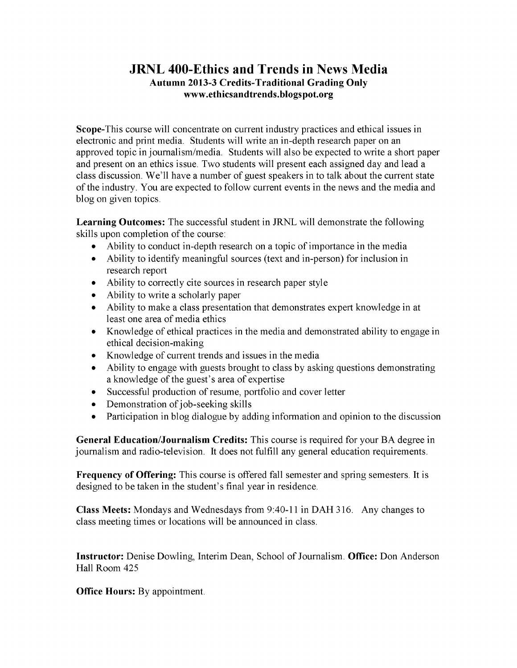#### **JRNL 400-Ethics and Trends in News Media Autumn 2013-3 Credits-Traditional Grading Only www.ethicsandtrends.blogspot.org**

Scope-This course will concentrate on current industry practices and ethical issues in electronic and print media. Students will write an in-depth research paper on an approved topic in journalism/media. Students will also be expected to write a short paper and present on an ethics issue. Two students will present each assigned day and lead a class discussion. We'll have a number of guest speakers in to talk about the current state of the industry. You are expected to follow current events in the news and the media and blog on given topics.

**Learning Outcomes:** The successful student in JRNL will demonstrate the following skills upon completion of the course:

- Ability to conduct in-depth research on a topic of importance in the media
- Ability to identify meaningful sources (text and in-person) for inclusion in research report
- Ability to correctly cite sources in research paper style
- Ability to write a scholarly paper
- Ability to make a class presentation that demonstrates expert knowledge in at least one area of media ethics
- Knowledge of ethical practices in the media and demonstrated ability to engage in ethical decision-making
- Knowledge of current trends and issues in the media
- Ability to engage with guests brought to class by asking questions demonstrating a knowledge of the guest's area of expertise
- Successful production of resume, portfolio and cover letter
- Demonstration of job-seeking skills
- Participation in blog dialogue by adding information and opinion to the discussion

**General Education/Journalism Credits:** This course is required for your BA degree in journalism and radio-television. It does not fulfill any general education requirements.

**Frequency of Offering:** This course is offered fall semester and spring semesters. It is designed to be taken in the student's final year in residence.

**Class Meets:** Mondays and Wednesdays from 9:40-11 in DAH 316. Any changes to class meeting times or locations will be announced in class.

**Instructor:** Denise Dowling, Interim Dean, School of Journalism. **Office:** Don Anderson Hall Room 425

**Office Hours:** By appointment.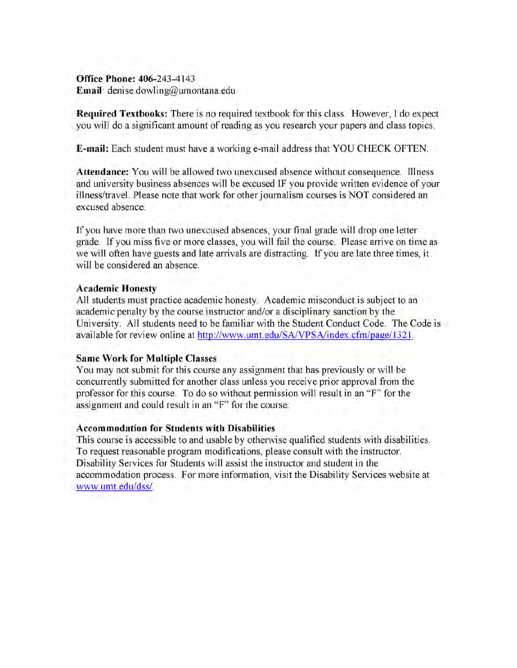**Office Phone: 406-243-4143 Email:** denise.dowling@umontana.edu

**Required Textbooks:** There is no required textbook for this class. However, I do expect you will do a significant amount of reading as you research your papers and class topics.

**E-mail:** Each student must have a working e-mail address that YOU CHECK OFTEN.

**Attendance:** You will be allowed two unexcused absence without consequence. Illness and university business absences will be excused IF you provide written evidence of your illness/travel. Please note that work for other journalism courses is NOT considered an excused absence.

If you have more than two unexcused absences, your final grade will drop one letter grade. If you miss five or more classes, you will fail the course. Please arrive on time as we will often have guests and late arrivals are distracting. If you are late three times, it will be considered an absence.

#### **Academic Honesty**

All students must practice academic honesty. Academic misconduct is subject to an academic penalty by the course instructor and/or a disciplinary sanction by the University. All students need to be familiar with the Student Conduct Code. The Code is available for review online at http://www.umt.edu/SA/VPSA/index.cfm/page/1321.

#### **Same Work for Multiple Classes**

You may not submit for this course any assignment that has previously or will be concurrently submitted for another class unless you receive prior approval from the professor for this course. To do so without permission will result in an "F" for the assignment and could result in an "F" for the course.

#### **Accommodation for Students with Disabilities**

This course is accessible to and usable by otherwise qualified students with disabilities. To request reasonable program modifications, please consult with the instructor. Disability Services for Students will assist the instructor and student in the accommodation process. For more information, visit the Disability Services website at www.umt.edu/dss/.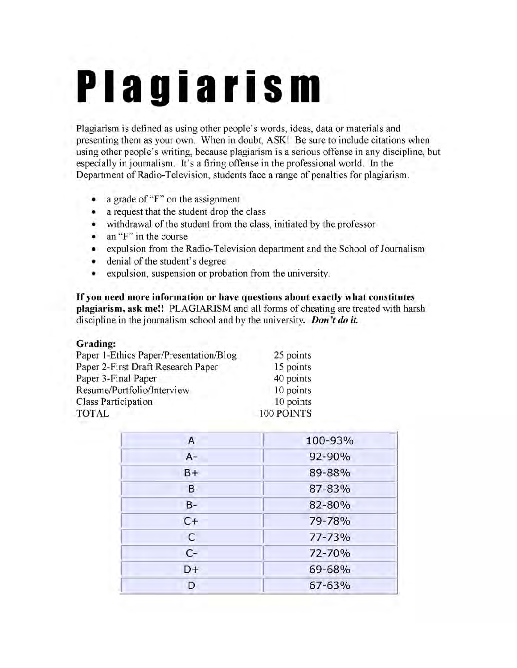# Plagiarism

Plagiarism is defined as using other people's words, ideas, data or materials and presenting them as your own. When in doubt, ASK! Be sure to include citations when using other people's writing, because plagiarism is a serious offense in any discipline, but especially in journalism. It's a firing offense in the professional world. In the Department of Radio-Television, students face a range of penalties for plagiarism.

- a grade of "F" on the assignment
- a request that the student drop the class
- withdrawal of the student from the class, initiated by the professor
- an "F" in the course
- expulsion from the Radio-Television department and the School of Journalism
- denial of the student's degree
- expulsion, suspension or probation from the university.

**If you need more information or have questions about exactly what constitutes plagiarism, ask me!!** PLAGIARISM and all forms of cheating are treated with harsh discipline in the journalism school and by the university. *Don't do it.* 

#### **Grading:**

| Paper 1-Ethics Paper/Presentation/Blog | 25 points  |
|----------------------------------------|------------|
| Paper 2-First Draft Research Paper     | 15 points  |
| Paper 3-Final Paper                    | 40 points  |
| Resume/Portfolio/Interview             | 10 points  |
| <b>Class Participation</b>             | 10 points  |
| <b>TOTAL</b>                           | 100 POINTS |

| $\overline{A}$ | 100-93% |
|----------------|---------|
| $A-$           | 92-90%  |
| $B+$           | 89-88%  |
| B              | 87-83%  |
| $B -$          | 82-80%  |
| $C+$           | 79-78%  |
| $\mathsf{C}$   | 77-73%  |
| $C-$           | 72-70%  |
| D+             | 69-68%  |
| D              | 67-63%  |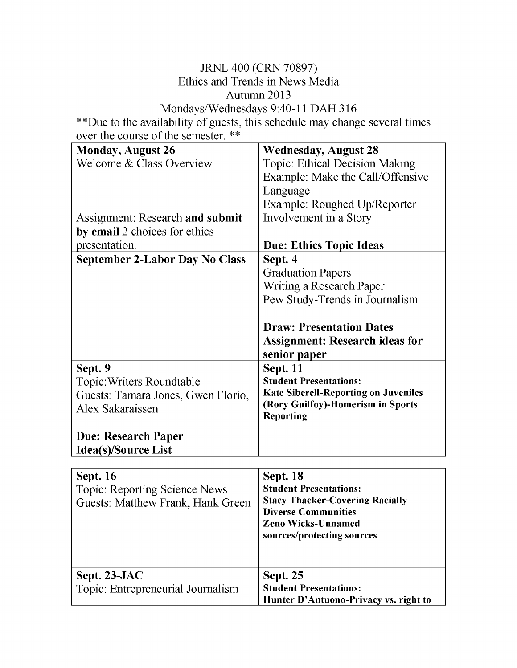#### JRNL 400 (CRN 70897) Ethics and Trends in News Media Autumn 2013 Mondays/Wednesdays 9:40-11 DAH 316

\*\*Due to the availability of guests, this schedule may change several times over the course of the semester. \*\*

| <b>Monday, August 26</b>               | <b>Wednesday, August 28</b>                             |
|----------------------------------------|---------------------------------------------------------|
| Welcome & Class Overview               | <b>Topic: Ethical Decision Making</b>                   |
|                                        | Example: Make the Call/Offensive                        |
|                                        | Language                                                |
|                                        | Example: Roughed Up/Reporter                            |
| <b>Assignment: Research and submit</b> | Involvement in a Story                                  |
| by email 2 choices for ethics          |                                                         |
| presentation.                          | <b>Due: Ethics Topic Ideas</b>                          |
| <b>September 2-Labor Day No Class</b>  | Sept. 4                                                 |
|                                        | <b>Graduation Papers</b>                                |
|                                        | Writing a Research Paper                                |
|                                        | Pew Study-Trends in Journalism                          |
|                                        |                                                         |
|                                        | <b>Draw: Presentation Dates</b>                         |
|                                        | <b>Assignment: Research ideas for</b>                   |
|                                        | senior paper                                            |
| Sept. 9                                | <b>Sept. 11</b>                                         |
| Topic: Writers Roundtable              | <b>Student Presentations:</b>                           |
| Guests: Tamara Jones, Gwen Florio,     | <b>Kate Siberell-Reporting on Juveniles</b>             |
| Alex Sakaraissen                       | (Rory Guilfoy)-Homerism in Sports                       |
|                                        | <b>Reporting</b>                                        |
| <b>Due: Research Paper</b>             |                                                         |
| <b>Idea(s)/Source List</b>             |                                                         |
|                                        |                                                         |
| <b>Sept. 16</b>                        | <b>Sept. 18</b>                                         |
| <b>Topic: Reporting Science News</b>   | <b>Student Presentations:</b>                           |
| Guests: Matthew Frank, Hank Green      | <b>Stacy Thacker-Covering Racially</b>                  |
|                                        | <b>Diverse Communities</b>                              |
|                                        | <b>Zeno Wicks-Unnamed</b><br>sources/protecting sources |
|                                        |                                                         |
|                                        |                                                         |
| Sept. 23-JAC                           | <b>Sept. 25</b>                                         |
| Topic: Entrepreneurial Journalism      | <b>Student Presentations:</b>                           |
|                                        | Hunter D'Antuono-Privacy vs. right to                   |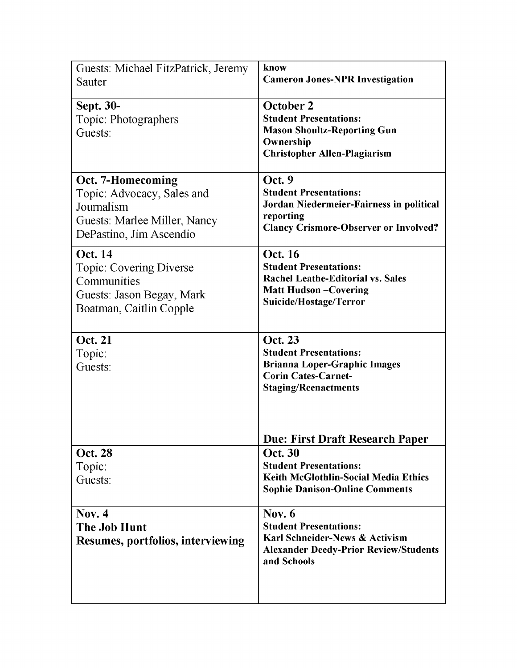| Guests: Michael FitzPatrick, Jeremy<br>Sauter                                                                            | know<br><b>Cameron Jones-NPR Investigation</b>                                                                                                                                    |
|--------------------------------------------------------------------------------------------------------------------------|-----------------------------------------------------------------------------------------------------------------------------------------------------------------------------------|
| <b>Sept. 30-</b><br>Topic: Photographers<br>Guests:                                                                      | <b>October 2</b><br><b>Student Presentations:</b><br><b>Mason Shoultz-Reporting Gun</b><br>Ownership<br><b>Christopher Allen-Plagiarism</b>                                       |
| Oct. 7-Homecoming<br>Topic: Advocacy, Sales and<br>Journalism<br>Guests: Marlee Miller, Nancy<br>DePastino, Jim Ascendio | Oct. 9<br><b>Student Presentations:</b><br>Jordan Niedermeier-Fairness in political<br>reporting<br><b>Clancy Crismore-Observer or Involved?</b>                                  |
| <b>Oct. 14</b><br><b>Topic: Covering Diverse</b><br>Communities<br>Guests: Jason Begay, Mark<br>Boatman, Caitlin Copple  | <b>Oct. 16</b><br><b>Student Presentations:</b><br><b>Rachel Leathe-Editorial vs. Sales</b><br><b>Matt Hudson-Covering</b><br>Suicide/Hostage/Terror                              |
| <b>Oct. 21</b><br>Topic:<br>Guests:                                                                                      | <b>Oct. 23</b><br><b>Student Presentations:</b><br><b>Brianna Loper-Graphic Images</b><br><b>Corin Cates-Carnet-</b><br><b>Staging/Reenactments</b>                               |
| <b>Oct. 28</b><br>Topic:<br>Guests:                                                                                      | <b>Due: First Draft Research Paper</b><br><b>Oct. 30</b><br><b>Student Presentations:</b><br><b>Keith McGlothlin-Social Media Ethics</b><br><b>Sophie Danison-Online Comments</b> |
| Nov. $4$<br><b>The Job Hunt</b><br><b>Resumes, portfolios, interviewing</b>                                              | Nov. $6$<br><b>Student Presentations:</b><br>Karl Schneider-News & Activism<br><b>Alexander Deedy-Prior Review/Students</b><br>and Schools                                        |